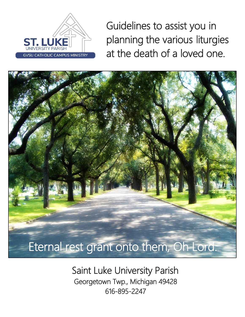

Guidelines to assist you in planning the various liturgies at the death of a loved one.



Saint Luke University Parish Georgetown Twp., Michigan 49428 616-895-2247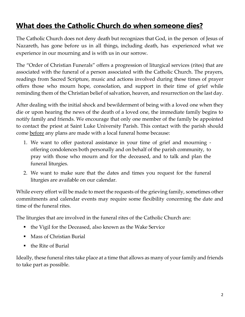### **What does the Catholic Church do when someone dies?**

The Catholic Church does not deny death but recognizes that God, in the person of Jesus of Nazareth, has gone before us in all things, including death, has experienced what we experience in our mourning and is with us in our sorrow.

The "Order of Christian Funerals" offers a progression of liturgical services (rites) that are associated with the funeral of a person associated with the Catholic Church. The prayers, readings from Sacred Scripture, music and actions involved during these times of prayer offers those who mourn hope, consolation, and support in their time of grief while reminding them of the Christian belief of salvation, heaven, and resurrection on the last day.

After dealing with the initial shock and bewilderment of being with a loved one when they die or upon hearing the news of the death of a loved one, the immediate family begins to notify family and friends. We encourage that only one member of the family be appointed to contact the priest at Saint Luke University Parish. This contact with the parish should come before any plans are made with a local funeral home because:

- 1. We want to offer pastoral assistance in your time of grief and mourning offering condolences both personally and on behalf of the parish community, to pray with those who mourn and for the deceased, and to talk and plan the funeral liturgies.
- 2. We want to make sure that the dates and times you request for the funeral liturgies are available on our calendar.

While every effort will be made to meet the requests of the grieving family, sometimes other commitments and calendar events may require some flexibility concerning the date and time of the funeral rites.

The liturgies that are involved in the funeral rites of the Catholic Church are:

- the Vigil for the Deceased, also known as the Wake Service
- Mass of Christian Burial
- the Rite of Burial

Ideally, these funeral rites take place at a time that allows as many of your family and friends to take part as possible.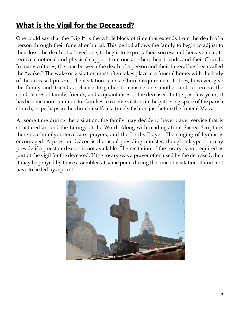# **What is the Vigil for the Deceased?**

One could say that the "vigil" is the whole block of time that extends from the death of a person through their funeral or burial. This period allows the family to begin to adjust to their loss: the death of a loved one; to begin to express their sorrow and bereavement; to receive emotional and physical support from one another, their friends, and their Church. In many cultures, the time between the death of a person and their funeral has been called the "wake." The wake or visitation most often takes place at a funeral home, with the body of the deceased present. The visitation is not a Church requirement. It does, however, give the family and friends a chance to gather to console one another and to receive the condolences of family, friends, and acquaintances of the deceased. In the past few years, it has become more common for families to receive visitors in the gathering space of the parish church, or perhaps in the church itself, in a timely fashion just before the funeral Mass.

At some time during the visitation, the family may decide to have prayer service that is structured around the Liturgy of the Word. Along with readings from Sacred Scripture, there is a homily, intercessory prayers, and the Lord's Prayer. The singing of hymns is encouraged. A priest or deacon is the usual presiding minister, though a layperson may preside if a priest or deacon is not available. The recitation of the rosary is not required as part of the vigil for the deceased. If the rosary was a prayer often used by the deceased, then it may be prayed by those assembled at some point during the time of visitation. It does not have to be led by a priest.

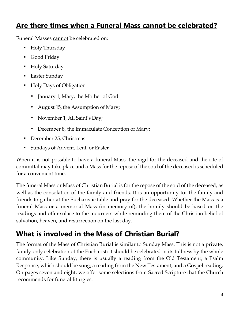### **Are there times when a Funeral Mass cannot be celebrated?**

Funeral Masses cannot be celebrated on:

- Holy Thursday
- Good Friday
- Holy Saturday
- Easter Sunday
- Holy Days of Obligation
	- January 1, Mary, the Mother of God
	- August 15, the Assumption of Mary;
	- November 1, All Saint's Day;
	- December 8, the Immaculate Conception of Mary;
- December 25, Christmas
- Sundays of Advent, Lent, or Easter

When it is not possible to have a funeral Mass, the vigil for the deceased and the rite of committal may take place and a Mass for the repose of the soul of the deceased is scheduled for a convenient time.

The funeral Mass or Mass of Christian Burial is for the repose of the soul of the deceased, as well as the consolation of the family and friends. It is an opportunity for the family and friends to gather at the Eucharistic table and pray for the deceased. Whether the Mass is a funeral Mass or a memorial Mass (in memory of), the homily should be based on the readings and offer solace to the mourners while reminding them of the Christian belief of salvation, heaven, and resurrection on the last day.

# **What is involved in the Mass of Christian Burial?**

The format of the Mass of Christian Burial is similar to Sunday Mass. This is not a private, family-only celebration of the Eucharist; it should be celebrated in its fullness by the whole community. Like Sunday, there is usually a reading from the Old Testament; a Psalm Response, which should be sung; a reading from the New Testament; and a Gospel reading. On pages seven and eight, we offer some selections from Sacred Scripture that the Church recommends for funeral liturgies.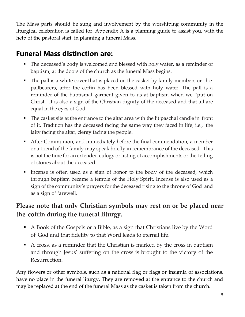The Mass parts should be sung and involvement by the worshiping community in the liturgical celebration is called for. Appendix A is a planning guide to assist you, with the help of the pastoral staff, in planning a funeral Mass.

### **Funeral Mass distinction are:**

- The deceased's body is welcomed and blessed with holy water, as a reminder of baptism, at the doors of the church as the funeral Mass begins.
- The pall is a white cover that is placed on the casket by family members or the pallbearers, after the coffin has been blessed with holy water. The pall is a reminder of the baptismal garment given to us at baptism when we "put on Christ." It is also a sign of the Christian dignity of the deceased and that all are equal in the eyes of God.
- The casket sits at the entrance to the altar area with the lit paschal candle in front of it. Tradition has the deceased facing the same way they faced in life, i.e., the laity facing the altar, clergy facing the people.
- After Communion, and immediately before the final commendation, a member or a friend of the family may speak briefly in remembrance of the deceased. This is not the time for an extended eulogy or listing of accomplishments or the telling of stories about the deceased.
- Incense is often used as a sign of honor to the body of the deceased, which through baptism became a temple of the Holy Spirit. Incense is also used as a sign of the community's prayers for the deceased rising to the throne of God and as a sign of farewell.

#### **Please note that only Christian symbols may rest on or be placed near the coffin during the funeral liturgy.**

- A Book of the Gospels or a Bible, as a sign that Christians live by the Word of God and that fidelity to that Word leads to eternal life.
- A cross, as a reminder that the Christian is marked by the cross in baptism and through Jesus' suffering on the cross is brought to the victory of the Resurrection.

Any flowers or other symbols, such as a national flag or flags or insignia of associations, have no place in the funeral liturgy. They are removed at the entrance to the church and may be replaced at the end of the funeral Mass as the casket is taken from the church.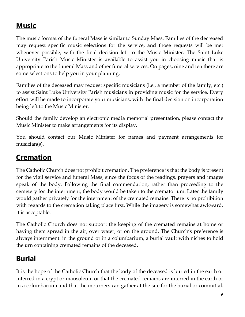# **Music**

The music format of the funeral Mass is similar to Sunday Mass. Families of the decreased may request specific music selections for the service, and those requests will be met whenever possible, with the final decision left to the Music Minister. The Saint Luke University Parish Music Minister is available to assist you in choosing music that is appropriate to the funeral Mass and other funeral services. On pages, nine and ten there are some selections to help you in your planning.

Families of the deceased may request specific musicians (i.e., a member of the family, etc.) to assist Saint Luke University Parish musicians in providing music for the service. Every effort will be made to incorporate your musicians, with the final decision on incorporation being left to the Music Minister.

Should the family develop an electronic media memorial presentation, please contact the Music Minister to make arrangements for its display.

You should contact our Music Minister for names and payment arrangements for musician(s).

# **Cremation**

The Catholic Church does not prohibit cremation. The preference is that the body is present for the vigil service and funeral Mass, since the focus of the readings, prayers and images speak of the body. Following the final commendation, rather than proceeding to the cemetery for the internment, the body would be taken to the crematorium. Later the family would gather privately for the internment of the cremated remains. There is no prohibition with regards to the cremation taking place first. While the imagery is somewhat awkward, it is acceptable.

The Catholic Church does not support the keeping of the cremated remains at home or having them spread in the air, over water, or on the ground. The Church's preference is always internment: in the ground or in a columbarium, a burial vault with niches to hold the urn containing cremated remains of the deceased.

# **Burial**

It is the hope of the Catholic Church that the body of the deceased is buried in the earth or interred in a crypt or mausoleum or that the cremated remains are interred in the earth or in a columbarium and that the mourners can gather at the site for the burial or committal.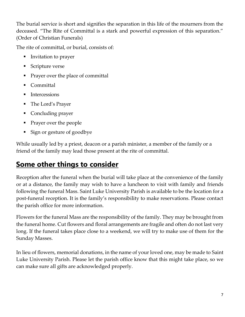The burial service is short and signifies the separation in this life of the mourners from the deceased. "The Rite of Committal is a stark and powerful expression of this separation." (Order of Christian Funerals)

The rite of committal, or burial, consists of:

- Invitation to prayer
- Scripture verse
- Prayer over the place of committal
- Committal
- **Intercessions**
- The Lord's Prayer
- Concluding prayer
- Prayer over the people
- Sign or gesture of goodbye

While usually led by a priest, deacon or a parish minister, a member of the family or a friend of the family may lead those present at the rite of committal.

### **Some other things to consider**

Reception after the funeral when the burial will take place at the convenience of the family or at a distance, the family may wish to have a luncheon to visit with family and friends following the funeral Mass. Saint Luke University Parish is available to be the location for a post-funeral reception. It is the family's responsibility to make reservations. Please contact the parish office for more information.

Flowers for the funeral Mass are the responsibility of the family. They may be brought from the funeral home. Cut flowers and floral arrangements are fragile and often do not last very long. If the funeral takes place close to a weekend, we will try to make use of them for the Sunday Masses.

In lieu of flowers, memorial donations, in the name of your loved one, may be made to Saint Luke University Parish. Please let the parish office know that this might take place, so we can make sure all gifts are acknowledged properly.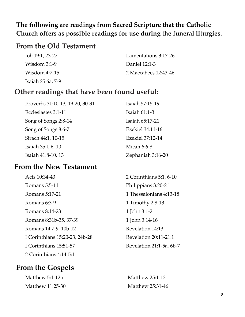#### **The following are readings from Sacred Scripture that the Catholic Church offers as possible readings for use during the funeral liturgies.**

#### **From the Old Testament**

| Job 19:1, 23-27   | Lamentations 3:17-26 |
|-------------------|----------------------|
| Wisdom $3:1-9$    | Daniel 12:1-3        |
| Wisdom 4:7-15     | 2 Maccabees 12:43-46 |
| Isaiah 25:6a, 7-9 |                      |

#### **Other readings that have been found useful:**

| Proverbs 31:10-13, 19-20, 30-31 | Isaiah 57:15-19   |
|---------------------------------|-------------------|
| Ecclesiastes 3:1-11             | Isaiah $61:1-3$   |
| Song of Songs 2:8-14            | Isaiah 65:17-21   |
| Song of Songs 8:6-7             | Ezekiel 34:11-16  |
| Sirach 44:1, 10-15              | Ezekiel 37:12-14  |
| Isaiah 35:1-6, 10               | Micah 6:6-8       |
| Isaiah 41:8-10, 13              | Zephaniah 3:16-20 |

#### **From the New Testament**

| Acts 10:34-43                  | 2 Corinth  |
|--------------------------------|------------|
| Romans 5:5-11                  | Philippia  |
| Romans 5:17-21                 | 1 Thessal  |
| Romans 6:3-9                   | 1 Timoth   |
| Romans 8:14-23                 | 1 John 3:1 |
| Romans 8:31b-35, 37-39         | 1 John 3:1 |
| Romans 14:7-9, 10b-12          | Revelatio  |
| I Corinthians 15:20-23, 24b-28 | Revelatio  |
| I Corinthians 15:51-57         | Revelatio  |
| 2 Corinthians 4:14-5:1         |            |

#### **From the Gospels**

| Matthew 5:1-12a  |
|------------------|
| Matthew 11:25-30 |

 $n$ ians 5:1, 6-10  $ns 3:20-21$ onians  $4:13-18$  $y 2:8-13$  $-2$  $14 - 16$ n 14:13  $\text{sn } 20:11$ -21:1 n 21:1-5a, 6b-7

Matthew 25:1-13 Matthew 25:31-46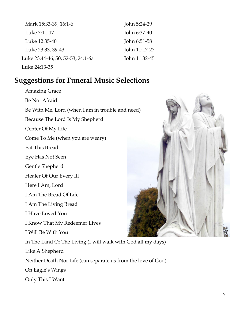| Mark 15:33-39, 16:1-6             | John 5:24-29  |
|-----------------------------------|---------------|
| Luke 7:11-17                      | John 6:37-40  |
| Luke 12:35-40                     | John 6:51-58  |
| Luke 23:33, 39-43                 | John 11:17-27 |
| Luke 23:44-46, 50, 52-53; 24:1-6a | John 11:32-45 |
| Luke 24:13-35                     |               |

#### **Suggestions for Funeral Music Selections**

Amazing Grace Be Not Afraid Be With Me, Lord (when I am in trouble and need) Because The Lord Is My Shepherd Center Of My Life Come To Me (when you are weary) Eat This Bread Eye Has Not Seen Gentle Shepherd Healer Of Our Every Ill Here I Am, Lord I Am The Bread Of Life I Am The Living Bread I Have Loved You I Know That My Redeemer Lives I Will Be With You In The Land Of The Living (I will walk with God all my days) Like A Shepherd Neither Death Nor Life (can separate us from the love of God) On Eagle's Wings

Only This I Want

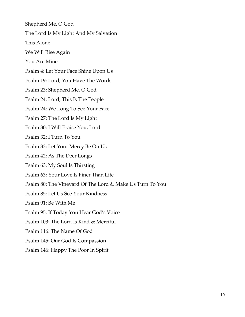Shepherd Me, O God The Lord Is My Light And My Salvation This Alone We Will Rise Again You Are Mine Psalm 4: Let Your Face Shine Upon Us Psalm 19: Lord, You Have The Words Psalm 23: Shepherd Me, O God Psalm 24: Lord, This Is The People Psalm 24: We Long To See Your Face Psalm 27: The Lord Is My Light Psalm 30: I Will Praise You, Lord Psalm 32: I Turn To You Psalm 33: Let Your Mercy Be On Us Psalm 42: As The Deer Longs Psalm 63: My Soul Is Thirsting Psalm 63: Your Love Is Finer Than Life Psalm 80: The Vineyard Of The Lord & Make Us Turn To You Psalm 85: Let Us See Your Kindness Psalm 91: Be With Me Psalm 95: If Today You Hear God's Voice Psalm 103: The Lord Is Kind & Merciful Psalm 116: The Name Of God Psalm 145: Our God Is Compassion Psalm 146: Happy The Poor In Spirit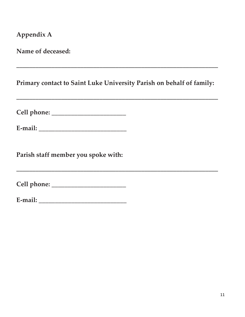**Appendix A**

**Name of deceased:**

**Primary contact to Saint Luke University Parish on behalf of family:**

\_\_\_\_\_\_\_\_\_\_\_\_\_\_\_\_\_\_\_\_\_\_\_\_\_\_\_\_\_\_\_\_\_\_\_\_\_\_\_\_\_\_\_\_\_\_\_\_\_\_\_\_\_\_\_\_\_\_\_\_\_\_\_

\_\_\_\_\_\_\_\_\_\_\_\_\_\_\_\_\_\_\_\_\_\_\_\_\_\_\_\_\_\_\_\_\_\_\_\_\_\_\_\_\_\_\_\_\_\_\_\_\_\_\_\_\_\_\_\_\_\_\_\_\_\_\_

\_\_\_\_\_\_\_\_\_\_\_\_\_\_\_\_\_\_\_\_\_\_\_\_\_\_\_\_\_\_\_\_\_\_\_\_\_\_\_\_\_\_\_\_\_\_\_\_\_\_\_\_\_\_\_\_\_\_\_\_\_\_\_

**Cell phone:** \_\_\_\_\_\_\_\_\_\_\_\_\_\_\_\_\_\_\_\_\_\_\_

**E-mail:** \_\_\_\_\_\_\_\_\_\_\_\_\_\_\_\_\_\_\_\_\_\_\_\_\_\_\_

**Parish staff member you spoke with:**

**Cell phone:** \_\_\_\_\_\_\_\_\_\_\_\_\_\_\_\_\_\_\_\_\_\_\_

| ┳<br>E-mail: |  |
|--------------|--|
|              |  |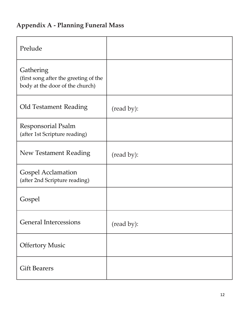# **Appendix A - Planning Funeral Mass**

| Prelude                                                                               |            |
|---------------------------------------------------------------------------------------|------------|
| Gathering<br>(first song after the greeting of the<br>body at the door of the church) |            |
| Old Testament Reading                                                                 | (read by): |
| <b>Responsorial Psalm</b><br>(after 1st Scripture reading)                            |            |
| <b>New Testament Reading</b>                                                          | (read by): |
| <b>Gospel Acclamation</b><br>(after 2nd Scripture reading)                            |            |
| Gospel                                                                                |            |
| <b>General Intercessions</b>                                                          | (read by): |
| <b>Offertory Music</b>                                                                |            |
| <b>Gift Bearers</b>                                                                   |            |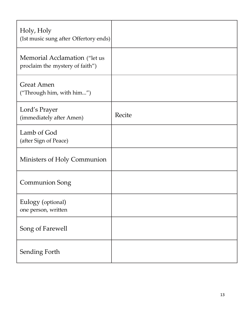| Holy, Holy<br>(1st music sung after Offertory ends)              |        |
|------------------------------------------------------------------|--------|
| Memorial Acclamation ("let us<br>proclaim the mystery of faith") |        |
| <b>Great Amen</b><br>("Through him, with him")                   |        |
| Lord's Prayer<br>(immediately after Amen)                        | Recite |
| Lamb of God<br>(after Sign of Peace)                             |        |
| Ministers of Holy Communion                                      |        |
| <b>Communion Song</b>                                            |        |
| Eulogy (optional)<br>one person, written                         |        |
| Song of Farewell                                                 |        |
| Sending Forth                                                    |        |